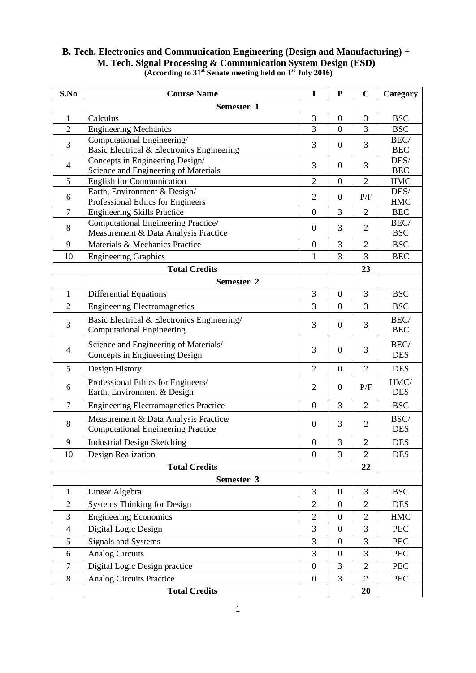## **B. Tech. Electronics and Communication Engineering (Design and Manufacturing) + M. Tech. Signal Processing & Communication System Design (ESD) (According to 31st Senate meeting held on 1st July 2016)**

| S.No           | <b>Course Name</b>                                                                 | I                | ${\bf P}$        | $\mathbf C$    | Category           |  |
|----------------|------------------------------------------------------------------------------------|------------------|------------------|----------------|--------------------|--|
| Semester 1     |                                                                                    |                  |                  |                |                    |  |
| $\mathbf{1}$   | Calculus                                                                           | 3                | $\mathbf{0}$     | 3              | <b>BSC</b>         |  |
| $\overline{2}$ | <b>Engineering Mechanics</b>                                                       | 3                | $\mathbf{0}$     | $\overline{3}$ | <b>BSC</b>         |  |
| 3              | Computational Engineering/<br>Basic Electrical & Electronics Engineering           | 3                | $\boldsymbol{0}$ | 3              | BEC/<br><b>BEC</b> |  |
| $\overline{4}$ | Concepts in Engineering Design/                                                    | 3                | $\boldsymbol{0}$ | 3              | DES/<br><b>BEC</b> |  |
| 5              | Science and Engineering of Materials<br><b>English for Communication</b>           | $\overline{2}$   | $\boldsymbol{0}$ | $\overline{2}$ | <b>HMC</b>         |  |
|                | Earth, Environment & Design/                                                       |                  |                  |                | DES/               |  |
| 6              | Professional Ethics for Engineers                                                  | $\overline{2}$   | $\boldsymbol{0}$ | P/F            | <b>HMC</b>         |  |
| $\tau$         | <b>Engineering Skills Practice</b>                                                 | $\boldsymbol{0}$ | 3                | $\mathbf{2}$   | <b>BEC</b>         |  |
| $8\,$          | Computational Engineering Practice/                                                | $\boldsymbol{0}$ | 3                | $\overline{2}$ | BEC/               |  |
|                | Measurement & Data Analysis Practice                                               |                  |                  |                | <b>BSC</b>         |  |
| 9              | Materials & Mechanics Practice                                                     | $\mathbf{0}$     | 3                | $\overline{2}$ | <b>BSC</b>         |  |
| 10             | <b>Engineering Graphics</b>                                                        | $\mathbf{1}$     | 3                | 3              | <b>BEC</b>         |  |
|                | <b>Total Credits</b>                                                               |                  |                  | 23             |                    |  |
|                | Semester 2                                                                         |                  |                  |                |                    |  |
| $\mathbf{1}$   | <b>Differential Equations</b>                                                      | 3                | $\boldsymbol{0}$ | 3              | <b>BSC</b>         |  |
| $\overline{2}$ | <b>Engineering Electromagnetics</b>                                                | 3                | $\boldsymbol{0}$ | 3              | <b>BSC</b>         |  |
| 3              | Basic Electrical & Electronics Engineering/<br><b>Computational Engineering</b>    | 3                | $\boldsymbol{0}$ | 3              | BEC/<br><b>BEC</b> |  |
| $\overline{4}$ | Science and Engineering of Materials/<br>Concepts in Engineering Design            | 3                | $\boldsymbol{0}$ | 3              | BEC/<br><b>DES</b> |  |
| 5              | Design History                                                                     | $\overline{2}$   | $\boldsymbol{0}$ | $\overline{2}$ | <b>DES</b>         |  |
| 6              | Professional Ethics for Engineers/<br>Earth, Environment & Design                  | $\overline{2}$   | $\overline{0}$   | P/F            | HMC/<br><b>DES</b> |  |
| $\overline{7}$ | <b>Engineering Electromagnetics Practice</b>                                       | $\overline{0}$   | 3                | $\overline{2}$ | <b>BSC</b>         |  |
| 8              | Measurement & Data Analysis Practice/<br><b>Computational Engineering Practice</b> | $\overline{0}$   | 3                | $\overline{2}$ | BSC/<br><b>DES</b> |  |
| 9              | <b>Industrial Design Sketching</b>                                                 | $\boldsymbol{0}$ | 3                | $\overline{c}$ | <b>DES</b>         |  |
| 10             | Design Realization                                                                 | $\boldsymbol{0}$ | 3                | $\overline{2}$ | <b>DES</b>         |  |
|                | <b>Total Credits</b>                                                               |                  |                  | 22             |                    |  |
| Semester 3     |                                                                                    |                  |                  |                |                    |  |
| $\mathbf{1}$   | Linear Algebra                                                                     | 3                | $\boldsymbol{0}$ | 3              | <b>BSC</b>         |  |
| $\overline{2}$ | Systems Thinking for Design                                                        | $\overline{2}$   | $\boldsymbol{0}$ | $\overline{2}$ | <b>DES</b>         |  |
| 3              | <b>Engineering Economics</b>                                                       | $\mathfrak{2}$   | $\boldsymbol{0}$ | $\overline{2}$ | <b>HMC</b>         |  |
| $\overline{4}$ | Digital Logic Design                                                               | 3                | $\boldsymbol{0}$ | 3              | PEC                |  |
| 5              | Signals and Systems                                                                | 3                | $\boldsymbol{0}$ | 3              | <b>PEC</b>         |  |
| 6              | <b>Analog Circuits</b>                                                             | 3                | $\boldsymbol{0}$ | 3              | PEC                |  |
| 7              | Digital Logic Design practice                                                      | $\boldsymbol{0}$ | 3                | $\overline{2}$ | <b>PEC</b>         |  |
| 8              | <b>Analog Circuits Practice</b>                                                    | $\boldsymbol{0}$ | 3                | $\overline{2}$ | PEC                |  |
|                | <b>Total Credits</b>                                                               |                  |                  | 20             |                    |  |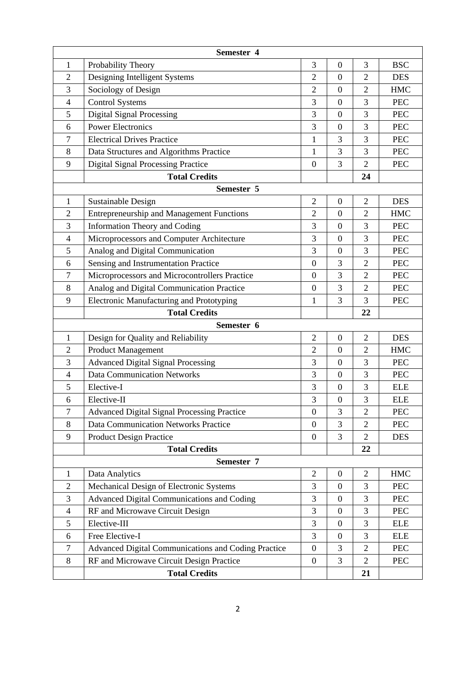|                | Semester 4                                          |                  |                  |                |            |  |
|----------------|-----------------------------------------------------|------------------|------------------|----------------|------------|--|
| $\mathbf{1}$   | Probability Theory                                  | 3                | $\overline{0}$   | 3              | <b>BSC</b> |  |
| $\overline{2}$ | Designing Intelligent Systems                       | $\overline{2}$   | $\boldsymbol{0}$ | $\overline{2}$ | <b>DES</b> |  |
| 3              | Sociology of Design                                 | $\overline{2}$   | $\boldsymbol{0}$ | $\overline{2}$ | <b>HMC</b> |  |
| 4              | <b>Control Systems</b>                              | 3                | $\boldsymbol{0}$ | 3              | <b>PEC</b> |  |
| 5              | <b>Digital Signal Processing</b>                    | 3                | $\boldsymbol{0}$ | 3              | <b>PEC</b> |  |
| 6              | <b>Power Electronics</b>                            | 3                | $\boldsymbol{0}$ | 3              | <b>PEC</b> |  |
| 7              | <b>Electrical Drives Practice</b>                   | $\mathbf{1}$     | 3                | 3              | <b>PEC</b> |  |
| 8              | Data Structures and Algorithms Practice             | 1                | 3                | 3              | <b>PEC</b> |  |
| 9              | <b>Digital Signal Processing Practice</b>           | $\boldsymbol{0}$ | 3                | $\overline{2}$ | <b>PEC</b> |  |
|                | <b>Total Credits</b>                                |                  |                  | 24             |            |  |
|                | Semester 5                                          |                  |                  |                |            |  |
| $\mathbf{1}$   | <b>Sustainable Design</b>                           | $\mathfrak{2}$   | $\boldsymbol{0}$ | $\overline{2}$ | <b>DES</b> |  |
| $\overline{2}$ | <b>Entrepreneurship and Management Functions</b>    | $\overline{2}$   | $\mathbf{0}$     | $\overline{2}$ | <b>HMC</b> |  |
| 3              | Information Theory and Coding                       | 3                | $\boldsymbol{0}$ | 3              | <b>PEC</b> |  |
| $\overline{4}$ | Microprocessors and Computer Architecture           | 3                | $\boldsymbol{0}$ | 3              | <b>PEC</b> |  |
| 5              | Analog and Digital Communication                    | 3                | $\boldsymbol{0}$ | 3              | <b>PEC</b> |  |
| 6              | Sensing and Instrumentation Practice                | $\mathbf{0}$     | 3                | $\overline{2}$ | <b>PEC</b> |  |
| $\tau$         | Microprocessors and Microcontrollers Practice       | $\boldsymbol{0}$ | 3                | $\overline{2}$ | <b>PEC</b> |  |
| 8              | Analog and Digital Communication Practice           | $\boldsymbol{0}$ | 3                | $\overline{2}$ | <b>PEC</b> |  |
| 9              | Electronic Manufacturing and Prototyping            | 1                | 3                | 3              | <b>PEC</b> |  |
|                | <b>Total Credits</b>                                |                  |                  | 22             |            |  |
|                | Semester 6                                          |                  |                  |                |            |  |
| $\mathbf{1}$   | Design for Quality and Reliability                  | $\overline{2}$   | $\boldsymbol{0}$ | $\overline{2}$ | <b>DES</b> |  |
| $\overline{2}$ | <b>Product Management</b>                           | $\overline{2}$   | $\boldsymbol{0}$ | $\mathfrak{2}$ | <b>HMC</b> |  |
| 3              | <b>Advanced Digital Signal Processing</b>           | 3                | $\overline{0}$   | 3              | <b>PEC</b> |  |
| 4              | <b>Data Communication Networks</b>                  | 3                | $\overline{0}$   | 3              | <b>PEC</b> |  |
| 5              | Elective-I                                          | 3                | $\boldsymbol{0}$ | 3              | <b>ELE</b> |  |
| 6              | Elective-II                                         | 3                | $\boldsymbol{0}$ | 3              | <b>ELE</b> |  |
| $\tau$         | <b>Advanced Digital Signal Processing Practice</b>  | $\boldsymbol{0}$ | 3                | $\overline{2}$ | <b>PEC</b> |  |
| 8              | Data Communication Networks Practice                | $\overline{0}$   | 3                | $\mathbf{2}$   | <b>PEC</b> |  |
| 9              | <b>Product Design Practice</b>                      | $\mathbf{0}$     | 3                | $\overline{2}$ | <b>DES</b> |  |
|                | <b>Total Credits</b>                                |                  |                  | 22             |            |  |
| Semester 7     |                                                     |                  |                  |                |            |  |
| $\mathbf{1}$   | Data Analytics                                      | $\overline{2}$   | $\mathbf{0}$     | $\mathfrak{2}$ | <b>HMC</b> |  |
| $\overline{2}$ | Mechanical Design of Electronic Systems             | 3                | $\boldsymbol{0}$ | 3              | <b>PEC</b> |  |
| 3              | Advanced Digital Communications and Coding          | 3                | $\boldsymbol{0}$ | 3              | <b>PEC</b> |  |
| $\overline{4}$ | RF and Microwave Circuit Design                     | 3                | $\overline{0}$   | 3              | <b>PEC</b> |  |
| 5              | Elective-III                                        | 3                | $\overline{0}$   | 3              | <b>ELE</b> |  |
| 6              | Free Elective-I                                     | 3                | $\boldsymbol{0}$ | 3              | <b>ELE</b> |  |
| $\tau$         | Advanced Digital Communications and Coding Practice | $\mathbf{0}$     | 3                | $\overline{2}$ | PEC        |  |
| 8              | RF and Microwave Circuit Design Practice            | $\boldsymbol{0}$ | 3                | $\overline{2}$ | <b>PEC</b> |  |
|                | <b>Total Credits</b>                                |                  |                  | 21             |            |  |